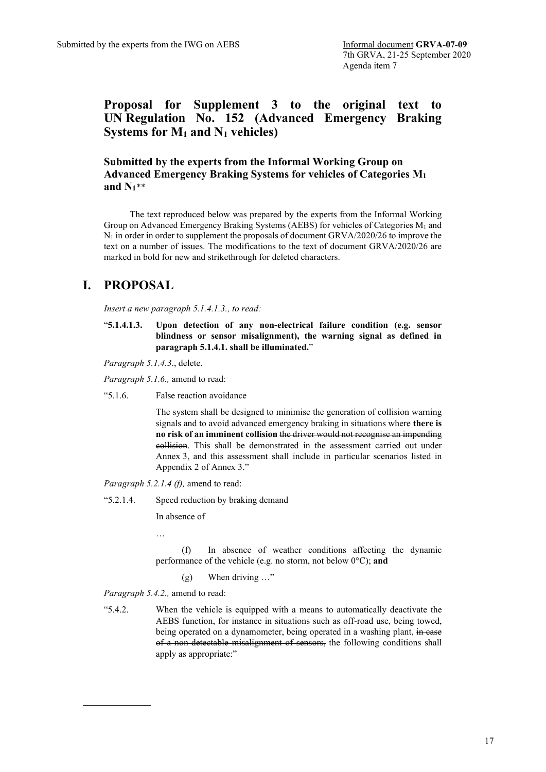**Proposal for Supplement 3 to the original text to UN Regulation No. 152 (Advanced Emergency Braking Systems for M1 and N1 vehicles)**

**Submitted by the experts from the Informal Working Group on Advanced Emergency Braking Systems for vehicles of Categories M1 and N1**[\\*\\*](#page-0-0)

The text reproduced below was prepared by the experts from the Informal Working Group on Advanced Emergency Braking Systems (AEBS) for vehicles of Categories M1 and  $N_1$  in order in order to supplement the proposals of document GRVA/2020/26 to improve the text on a number of issues. The modifications to the text of document GRVA/2020/26 are marked in bold for new and strikethrough for deleted characters.

# **I. PROPOSAL**

*Insert a new paragraph 5.1.4.1.3., to read:*

"**5.1.4.1.3. Upon detection of any non-electrical failure condition (e.g. sensor blindness or sensor misalignment), the warning signal as defined in paragraph 5.1.4.1. shall be illuminated.**"

*Paragraph 5.1.4.3*., delete.

*Paragraph 5.1.6.,* amend to read:

"5.1.6. False reaction avoidance

The system shall be designed to minimise the generation of collision warning signals and to avoid advanced emergency braking in situations where **there is no risk of an imminent collision** the driver would not recognise an impending collision. This shall be demonstrated in the assessment carried out under Annex 3, and this assessment shall include in particular scenarios listed in Appendix 2 of Annex 3."

*Paragraph 5.2.1.4 (f),* amend to read:

"5.2.1.4. Speed reduction by braking demand

In absence of

…

(f) In absence of weather conditions affecting the dynamic performance of the vehicle (e.g. no storm, not below 0°C); **and**

(g) When driving …"

*Paragraph 5.4.2.,* amend to read:

<span id="page-0-0"></span>"5.4.2. When the vehicle is equipped with a means to automatically deactivate the AEBS function, for instance in situations such as off-road use, being towed, being operated on a dynamometer, being operated in a washing plant, in case of a non-detectable misalignment of sensors, the following conditions shall apply as appropriate:"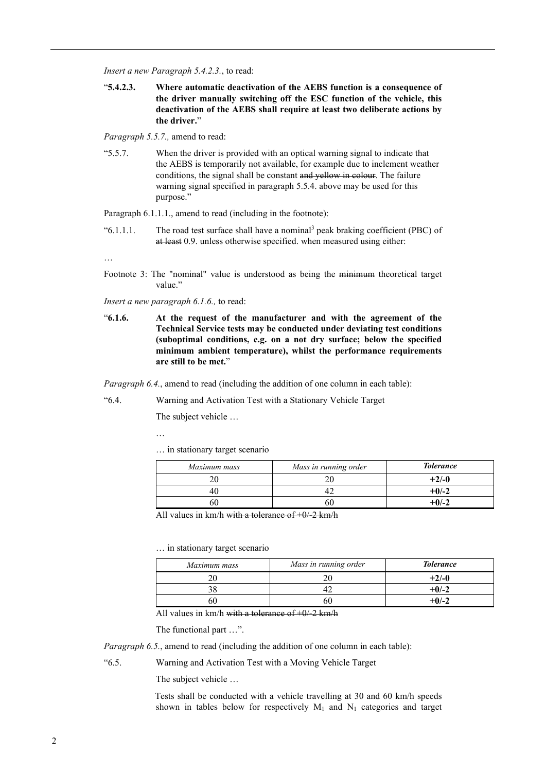*Insert a new Paragraph 5.4.2.3.*, to read:

"**5.4.2.3. Where automatic deactivation of the AEBS function is a consequence of the driver manually switching off the ESC function of the vehicle, this deactivation of the AEBS shall require at least two deliberate actions by the driver.**"

*Paragraph 5.5.7.,* amend to read:

"5.5.7. When the driver is provided with an optical warning signal to indicate that the AEBS is temporarily not available, for example due to inclement weather conditions, the signal shall be constant and yellow in colour. The failure warning signal specified in paragraph 5.5.4. above may be used for this purpose."

Paragraph 6.1.1.1., amend to read (including in the footnote):

" $6.1.1.1.$  The road test surface shall have a nominal<sup>3</sup> peak braking coefficient (PBC) of at least 0.9. unless otherwise specified. when measured using either:

…

Footnote 3: The "nominal" value is understood as being the minimum theoretical target value."

*Insert a new paragraph 6.1.6.,* to read:

"**6.1.6. At the request of the manufacturer and with the agreement of the Technical Service tests may be conducted under deviating test conditions (suboptimal conditions, e.g. on a not dry surface; below the specified minimum ambient temperature), whilst the performance requirements are still to be met.**"

*Paragraph 6.4.*, amend to read (including the addition of one column in each table):

"6.4. Warning and Activation Test with a Stationary Vehicle Target

The subject vehicle …

…

… in stationary target scenario

| Maximum mass | Mass in running order | <b>Tolerance</b> |
|--------------|-----------------------|------------------|
|              |                       | $+2/-0$          |
|              |                       | $+0/-2$          |
|              | ht                    | $+0/-2$          |

All values in  $km/h$  with a tolerance of  $+0/2$  km/h

… in stationary target scenario

| Maximum mass | Mass in running order | <b>Tolerance</b> |
|--------------|-----------------------|------------------|
|              |                       | $+2/-0$          |
| 38           |                       | $+0/-2$          |
| 60           | bι                    | $+0/-2$          |

All values in km/h with a tolerance of  $+0/2$  km/h

The functional part …".

*Paragraph 6.5.*, amend to read (including the addition of one column in each table):

"6.5. Warning and Activation Test with a Moving Vehicle Target

The subject vehicle …

Tests shall be conducted with a vehicle travelling at 30 and 60 km/h speeds shown in tables below for respectively  $M_1$  and  $N_1$  categories and target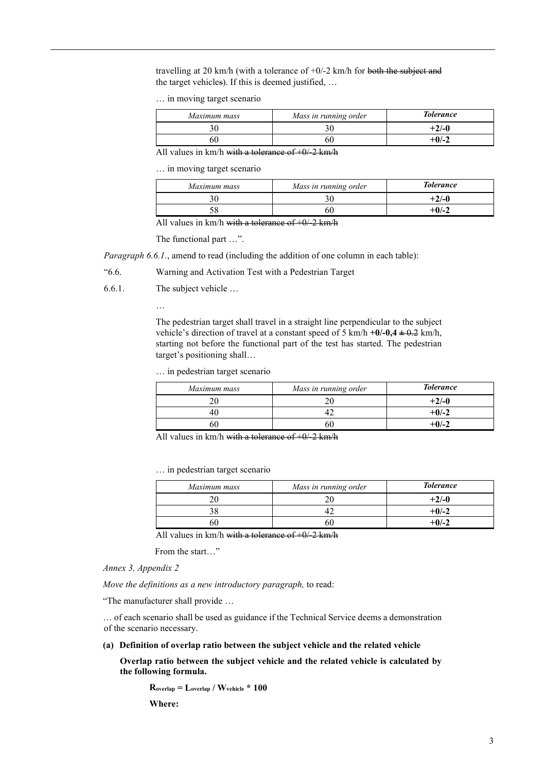travelling at 20 km/h (with a tolerance of  $+0/-2$  km/h for both the subject and the target vehicles). If this is deemed justified, …

… in moving target scenario

| Maximum mass | Mass in running order | <b>Tolerance</b> |
|--------------|-----------------------|------------------|
|              |                       | $+2/-0$          |
| ነሀ           | 60                    | $+0/-2$          |

All values in km/h with a tolerance of  $+0/2$  km/h

… in moving target scenario

| Maximum mass | Mass in running order | <b>Tolerance</b> |
|--------------|-----------------------|------------------|
|              |                       | $+2/-0$          |
|              |                       | $+0/-2$          |

All values in km/h with a tolerance of  $+0/2$  km/h

The functional part …".

*Paragraph 6.6.1.*, amend to read (including the addition of one column in each table):

"6.6. Warning and Activation Test with a Pedestrian Target

6.6.1. The subject vehicle …

…

The pedestrian target shall travel in a straight line perpendicular to the subject vehicle's direction of travel at a constant speed of 5 km/h **+0/-0,4 ±** 0.2 km/h, starting not before the functional part of the test has started. The pedestrian target's positioning shall…

… in pedestrian target scenario

| Maximum mass | Mass in running order | <b>Tolerance</b> |
|--------------|-----------------------|------------------|
|              |                       | $+2/-0$          |
|              |                       | $+0/-2$          |
|              |                       | +0/-2            |

All values in km/h with a tolerance of  $+0/2$  km/h

… in pedestrian target scenario

| Maximum mass | Mass in running order | <b>Tolerance</b> |
|--------------|-----------------------|------------------|
|              |                       | $+2/-0$          |
|              |                       | $+0/-2$          |
|              |                       | +0/-2            |

All values in km/h with a tolerance of  $+0/2$  km/h

From the start…"

*Annex 3, Appendix 2*

*Move the definitions as a new introductory paragraph,* to read:

"The manufacturer shall provide …

… of each scenario shall be used as guidance if the Technical Service deems a demonstration of the scenario necessary.

**(a) Definition of overlap ratio between the subject vehicle and the related vehicle**

**Overlap ratio between the subject vehicle and the related vehicle is calculated by the following formula.**

**Roverlap = Loverlap / Wvehicle \* 100** 

**Where:**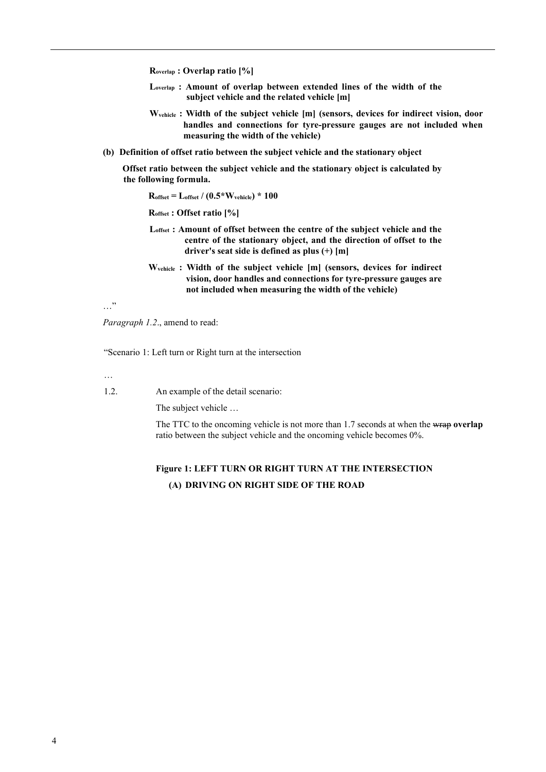**Roverlap : Overlap ratio [%]**

- **Loverlap : Amount of overlap between extended lines of the width of the subject vehicle and the related vehicle [m]**
- **Wvehicle : Width of the subject vehicle [m] (sensors, devices for indirect vision, door handles and connections for tyre‑pressure gauges are not included when measuring the width of the vehicle)**
- **(b) Definition of offset ratio between the subject vehicle and the stationary object**

**Offset ratio between the subject vehicle and the stationary object is calculated by the following formula.**

**Roffset = Loffset / (0.5\*Wvehicle) \* 100** 

**Roffset : Offset ratio [%]**

- **Loffset : Amount of offset between the centre of the subject vehicle and the centre of the stationary object, and the direction of offset to the driver's seat side is defined as plus (+) [m]**
- **Wvehicle : Width of the subject vehicle [m] (sensors, devices for indirect vision, door handles and connections for tyre‑pressure gauges are not included when measuring the width of the vehicle)**

…"

*Paragraph 1.2*., amend to read:

"Scenario 1: Left turn or Right turn at the intersection

…

1.2. An example of the detail scenario:

The subject vehicle …

The TTC to the oncoming vehicle is not more than 1.7 seconds at when the wrap **overlap** ratio between the subject vehicle and the oncoming vehicle becomes 0%.

# **Figure 1: LEFT TURN OR RIGHT TURN AT THE INTERSECTION (A) DRIVING ON RIGHT SIDE OF THE ROAD**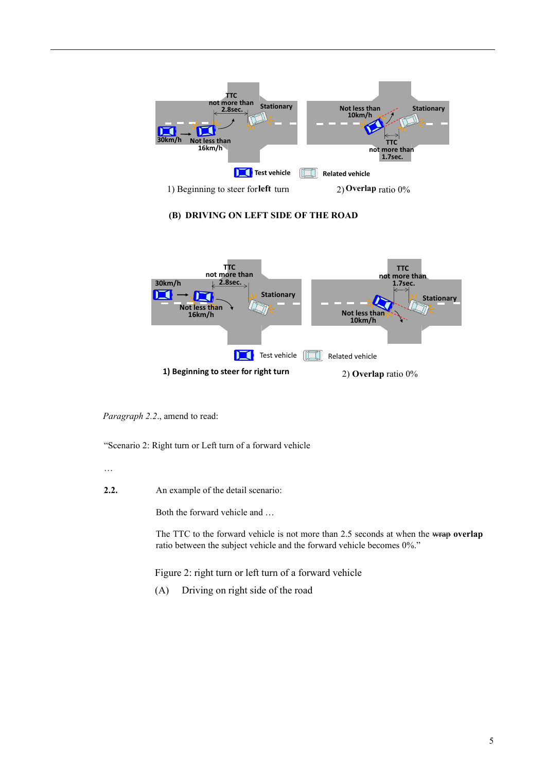

### **(B) DRIVING ON LEFT SIDE OF THE ROAD**



*Paragraph 2.2*., amend to read:

"Scenario 2: Right turn or Left turn of a forward vehicle

- …
- **2.2.** An example of the detail scenario:

Both the forward vehicle and …

The TTC to the forward vehicle is not more than 2.5 seconds at when the wrap **overlap** ratio between the subject vehicle and the forward vehicle becomes 0%."

Figure 2: right turn or left turn of a forward vehicle

(A) Driving on right side of the road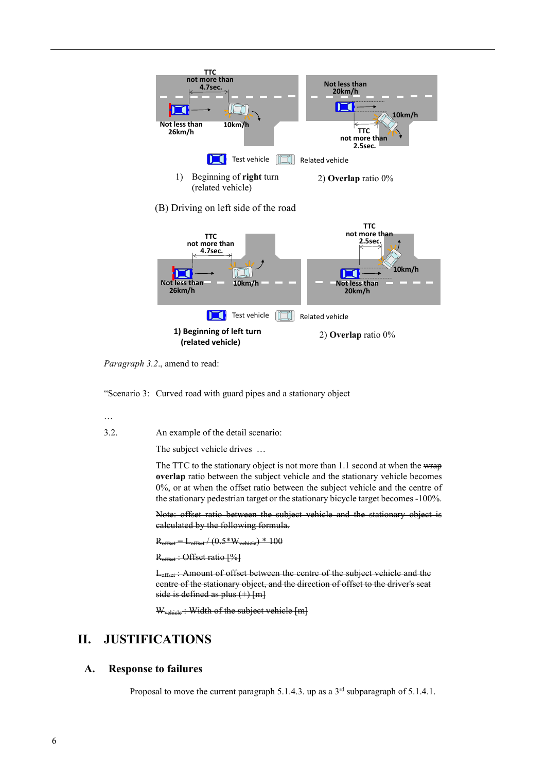

*Paragraph 3.2*., amend to read:

"Scenario 3: Curved road with guard pipes and a stationary object

…

3.2. An example of the detail scenario:

The subject vehicle drives …

The TTC to the stationary object is not more than 1.1 second at when the wrap **overlap** ratio between the subject vehicle and the stationary vehicle becomes 0%, or at when the offset ratio between the subject vehicle and the centre of the stationary pedestrian target or the stationary bicycle target becomes -100%.

Note: offset ratio between the subject vehicle and the stationary object is calculated by the following formula.

 $R_{\text{offset}} = L_{\text{offset}} / (0.5*W_{\text{vehicle}}) * 100$ 

R<sub>offset</sub>: Offset ratio [%]

L<sub>offset</sub>: Amount of offset between the centre of the subject vehicle and the centre of the stationary object, and the direction of offset to the driver's seat side is defined as plus  $(+)$  [m]

W<sub>vehicle</sub>: Width of the subject vehicle [m]

# **II. JUSTIFICATIONS**

#### **A. Response to failures**

Proposal to move the current paragraph 5.1.4.3. up as a  $3<sup>rd</sup>$  subparagraph of 5.1.4.1.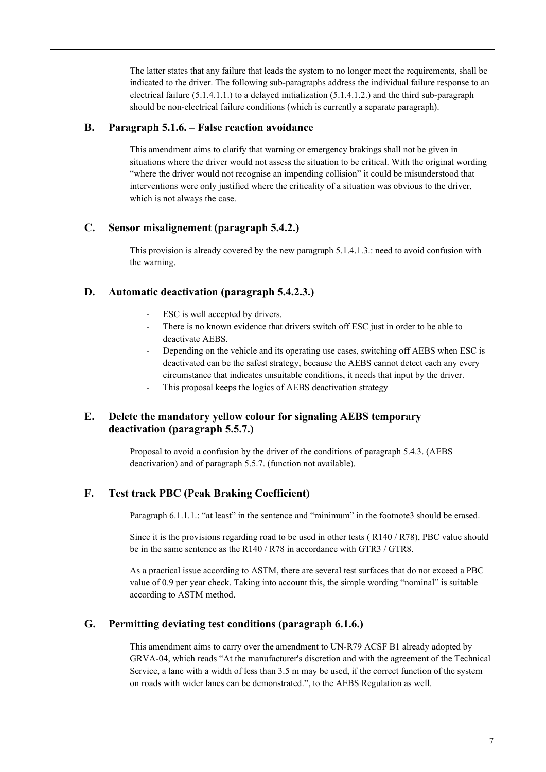The latter states that any failure that leads the system to no longer meet the requirements, shall be indicated to the driver. The following sub-paragraphs address the individual failure response to an electrical failure  $(5.1.4.1.1.)$  to a delayed initialization  $(5.1.4.1.2.)$  and the third sub-paragraph should be non-electrical failure conditions (which is currently a separate paragraph).

### **B. Paragraph 5.1.6. – False reaction avoidance**

This amendment aims to clarify that warning or emergency brakings shall not be given in situations where the driver would not assess the situation to be critical. With the original wording "where the driver would not recognise an impending collision" it could be misunderstood that interventions were only justified where the criticality of a situation was obvious to the driver, which is not always the case.

#### **C. Sensor misalignement (paragraph 5.4.2.)**

This provision is already covered by the new paragraph 5.1.4.1.3.: need to avoid confusion with the warning.

#### **D. Automatic deactivation (paragraph 5.4.2.3.)**

- ESC is well accepted by drivers.
- There is no known evidence that drivers switch off ESC just in order to be able to deactivate AEBS.
- Depending on the vehicle and its operating use cases, switching off AEBS when ESC is deactivated can be the safest strategy, because the AEBS cannot detect each any every circumstance that indicates unsuitable conditions, it needs that input by the driver.
- This proposal keeps the logics of AEBS deactivation strategy

# **E. Delete the mandatory yellow colour for signaling AEBS temporary deactivation (paragraph 5.5.7.)**

Proposal to avoid a confusion by the driver of the conditions of paragraph 5.4.3. (AEBS deactivation) and of paragraph 5.5.7. (function not available).

# **F. Test track PBC (Peak Braking Coefficient)**

Paragraph 6.1.1.1.: "at least" in the sentence and "minimum" in the footnote3 should be erased.

Since it is the provisions regarding road to be used in other tests ( R140 / R78), PBC value should be in the same sentence as the R140 / R78 in accordance with GTR3 / GTR8.

As a practical issue according to ASTM, there are several test surfaces that do not exceed a PBC value of 0.9 per year check. Taking into account this, the simple wording "nominal" is suitable according to ASTM method.

# **G. Permitting deviating test conditions (paragraph 6.1.6.)**

This amendment aims to carry over the amendment to UN-R79 ACSF B1 already adopted by GRVA-04, which reads "At the manufacturer's discretion and with the agreement of the Technical Service, a lane with a width of less than 3.5 m may be used, if the correct function of the system on roads with wider lanes can be demonstrated.", to the AEBS Regulation as well.